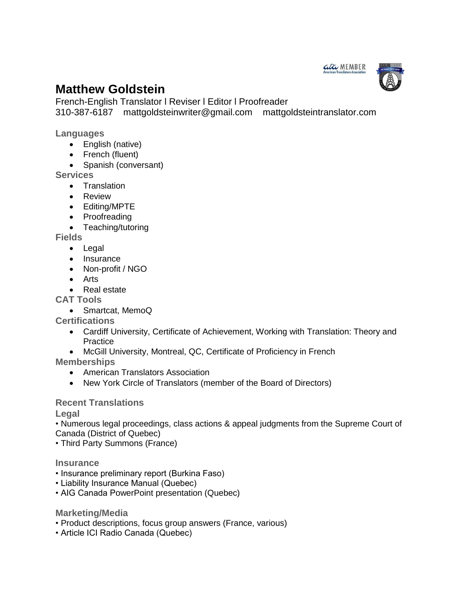

# **Matthew Goldstein**

French-English Translator l Reviser l Editor l Proofreader 310-387-6187 mattgoldsteinwriter@gmail.com mattgoldsteintranslator.com

**Languages**

- English (native)
- French (fluent)
- Spanish (conversant)

**Services** 

- **•** Translation
- **•** Review
- Editing/MPTE
- Proofreading
- Teaching/tutoring

**Fields** 

- Legal
- Insurance
- Non-profit / NGO
- Arts
- Real estate

**CAT Tools**

Smartcat, MemoQ

**Certifications**

- Cardiff University, Certificate of Achievement, Working with Translation: Theory and **Practice**
- McGill University, Montreal, QC, Certificate of Proficiency in French

**Memberships**

- American Translators Association
- New York Circle of Translators (member of the Board of Directors)

# **Recent Translations**

**Legal**

• Numerous legal proceedings, class actions & appeal judgments from the Supreme Court of Canada (District of Quebec)

• Third Party Summons (France)

#### **Insurance**

- Insurance preliminary report (Burkina Faso)
- Liability Insurance Manual (Quebec)
- AIG Canada PowerPoint presentation (Quebec)

#### **Marketing/Media**

- Product descriptions, focus group answers (France, various)
- Article ICI Radio Canada (Quebec)